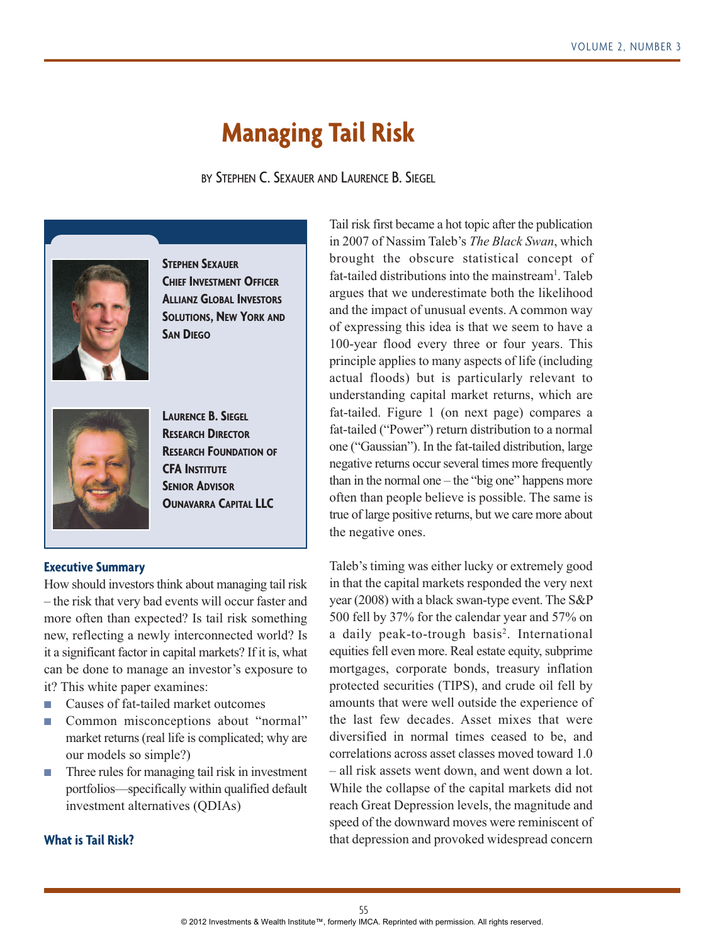# **Managing Tail Risk**

BY STEPHEN C. SEXAUER AND LAURENCE B. SIEGEL



**STEPHEN SEXAUER CHIEF INVESTMENT OFFICER ALLIANZ GLOBAL INVESTORS SOLUTIONS, NEW YORK AND SAN DIEGO**



**LAURENCE B. SIEGEL RESEARCH DIRECTOR RESEARCH FOUNDATION OF CFA INSTITUTE SENIOR ADVISOR OUNAVARRA CAPITAL LLC**

# **Executive Summary**

How should investors think about managing tail risk – the risk that very bad events will occur faster and more often than expected? Is tail risk something new, reflecting a newly interconnected world? Is it a significant factor in capital markets? If it is, what can be done to manage an investor's exposure to it? This white paper examines:

- Causes of fat-tailed market outcomes
- Common misconceptions about "normal" market returns (real life is complicated; why are our models so simple?)
- Three rules for managing tail risk in investment portfolios—specifically within qualified default investment alternatives (QDIAs)

**What is Tail Risk?**

Tail risk first became a hot topic after the publication in 2007 of Nassim Taleb's *The Black Swan*, which brought the obscure statistical concept of fat-tailed distributions into the mainstream<sup>1</sup>. Taleb argues that we underestimate both the likelihood and the impact of unusual events. A common way of expressing this idea is that we seem to have a 100-year flood every three or four years. This principle applies to many aspects of life (including actual floods) but is particularly relevant to understanding capital market returns, which are fat-tailed. Figure 1 (on next page) compares a fat-tailed ("Power") return distribution to a normal one ("Gaussian"). In the fat-tailed distribution, large negative returns occur several times more frequently than in the normal one – the "big one" happens more often than people believe is possible. The same is true of large positive returns, but we care more about the negative ones.

Taleb's timing was either lucky or extremely good in that the capital markets responded the very next year (2008) with a black swan-type event. The S&P 500 fell by 37% for the calendar year and 57% on a daily peak-to-trough basis<sup>2</sup>. International equities fell even more. Real estate equity, subprime mortgages, corporate bonds, treasury inflation protected securities (TIPS), and crude oil fell by amounts that were well outside the experience of the last few decades. Asset mixes that were diversified in normal times ceased to be, and correlations across asset classes moved toward 1.0 – all risk assets went down, and went down a lot. While the collapse of the capital markets did not reach Great Depression levels, the magnitude and speed of the downward moves were reminiscent of that depression and provoked widespread concern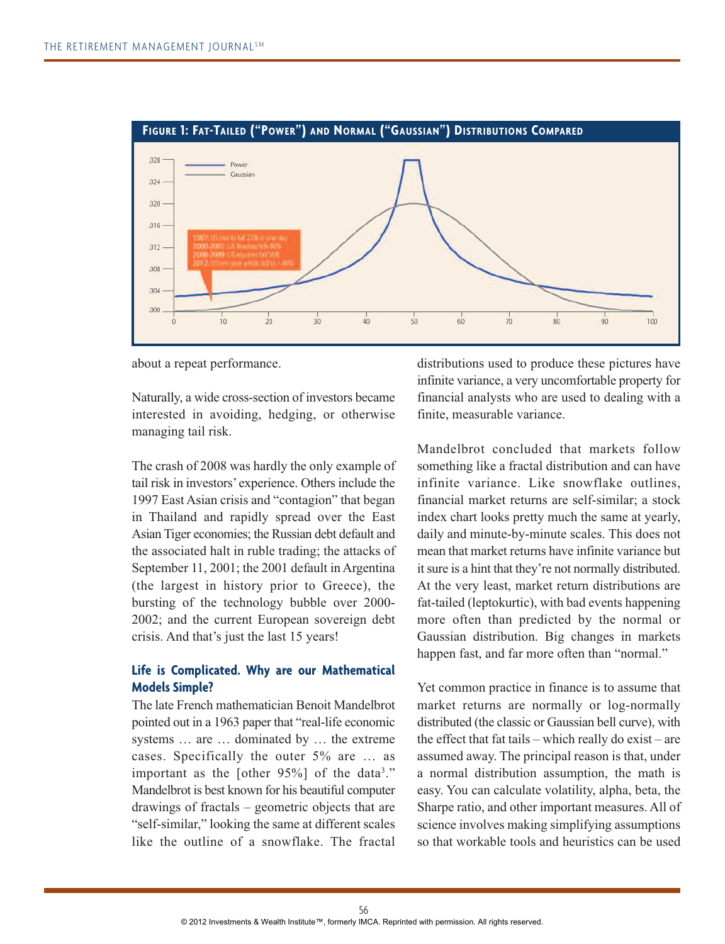

about a repeat performance.

Naturally, a wide cross-section of investors became interested in avoiding, hedging, or otherwise managing tail risk.

The crash of 2008 was hardly the only example of tail risk in investors'experience. Others include the 1997 East Asian crisis and "contagion" that began in Thailand and rapidly spread over the East Asian Tiger economies; the Russian debt default and the associated halt in ruble trading; the attacks of September 11, 2001; the 2001 default in Argentina (the largest in history prior to Greece), the bursting of the technology bubble over 2000- 2002; and the current European sovereign debt crisis. And that's just the last 15 years!

# **Life is Complicated. Why are our Mathematical Models Simple?**

The late French mathematician Benoit Mandelbrot pointed out in a 1963 paper that "real-life economic systems … are … dominated by … the extreme cases. Specifically the outer 5% are … as important as the [other  $95\%$ ] of the data<sup>3</sup>." Mandelbrot is best known for his beautiful computer drawings of fractals – geometric objects that are "self-similar," looking the same at different scales like the outline of a snowflake. The fractal

distributions used to produce these pictures have infinite variance, a very uncomfortable property for financial analysts who are used to dealing with a finite, measurable variance.

Mandelbrot concluded that markets follow something like a fractal distribution and can have infinite variance. Like snowflake outlines, financial market returns are self-similar; a stock index chart looks pretty much the same at yearly, daily and minute-by-minute scales. This does not mean that market returns have infinite variance but it sure is a hint that they're not normally distributed. At the very least, market return distributions are fat-tailed (leptokurtic), with bad events happening more often than predicted by the normal or Gaussian distribution. Big changes in markets happen fast, and far more often than "normal."

Yet common practice in finance is to assume that market returns are normally or log-normally distributed (the classic or Gaussian bell curve), with the effect that fat tails – which really do exist – are assumed away. The principal reason is that, under a normal distribution assumption, the math is easy. You can calculate volatility, alpha, beta, the Sharpe ratio, and other important measures. All of science involves making simplifying assumptions so that workable tools and heuristics can be used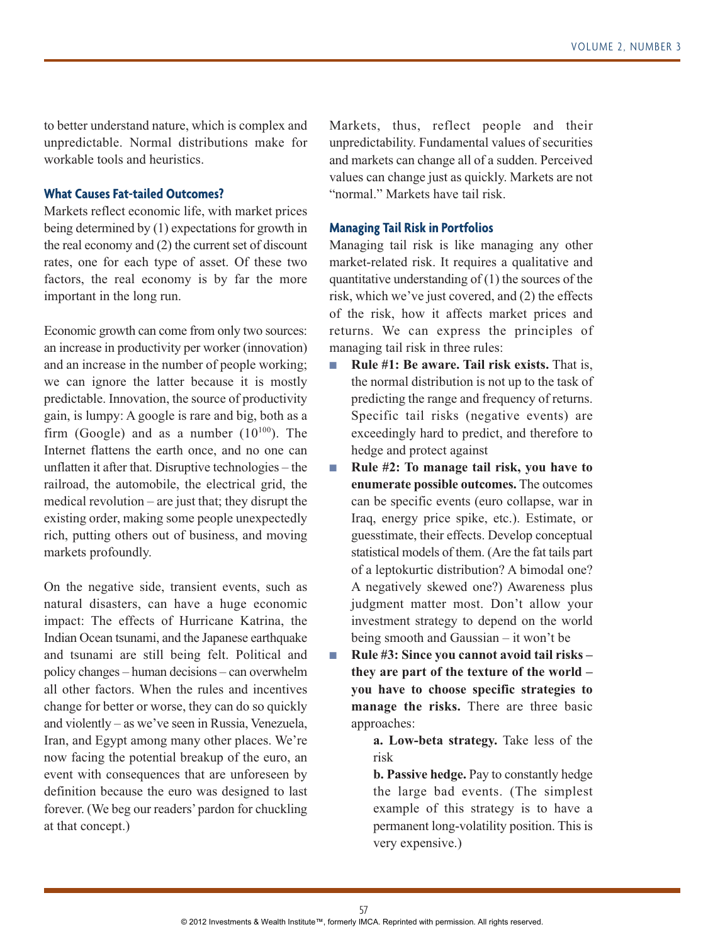to better understand nature, which is complex and unpredictable. Normal distributions make for workable tools and heuristics.

# **What Causes Fat-tailed Outcomes?**

Markets reflect economic life, with market prices being determined by (1) expectations for growth in the real economy and (2) the current set of discount rates, one for each type of asset. Of these two factors, the real economy is by far the more important in the long run.

Economic growth can come from only two sources: an increase in productivity per worker (innovation) and an increase in the number of people working; we can ignore the latter because it is mostly predictable. Innovation, the source of productivity gain, is lumpy: A google is rare and big, both as a firm (Google) and as a number  $(10^{100})$ . The Internet flattens the earth once, and no one can unflatten it after that. Disruptive technologies – the railroad, the automobile, the electrical grid, the medical revolution – are just that; they disrupt the existing order, making some people unexpectedly rich, putting others out of business, and moving markets profoundly.

On the negative side, transient events, such as natural disasters, can have a huge economic impact: The effects of Hurricane Katrina, the Indian Ocean tsunami, and the Japanese earthquake and tsunami are still being felt. Political and policy changes – human decisions – can overwhelm all other factors. When the rules and incentives change for better or worse, they can do so quickly and violently – as we've seen in Russia, Venezuela, Iran, and Egypt among many other places. We're now facing the potential breakup of the euro, an event with consequences that are unforeseen by definition because the euro was designed to last forever. (We beg our readers' pardon for chuckling at that concept.)

Markets, thus, reflect people and their unpredictability. Fundamental values of securities and markets can change all of a sudden. Perceived values can change just as quickly. Markets are not "normal." Markets have tail risk.

#### **Managing Tail Risk in Portfolios**

Managing tail risk is like managing any other market-related risk. It requires a qualitative and quantitative understanding of (1) the sources of the risk, which we've just covered, and (2) the effects of the risk, how it affects market prices and returns. We can express the principles of managing tail risk in three rules:

- **Rule #1: Be aware. Tail risk exists.** That is, the normal distribution is not up to the task of predicting the range and frequency of returns. Specific tail risks (negative events) are exceedingly hard to predict, and therefore to hedge and protect against
- **Rule #2: To manage tail risk, you have to enumerate possible outcomes.** The outcomes can be specific events (euro collapse, war in Iraq, energy price spike, etc.). Estimate, or guesstimate, their effects. Develop conceptual statistical models of them. (Are the fat tails part of a leptokurtic distribution? A bimodal one? A negatively skewed one?) Awareness plus judgment matter most. Don't allow your investment strategy to depend on the world being smooth and Gaussian – it won't be
- **Rule #3: Since you cannot avoid tail risks they are part of the texture of the world – you have to choose specific strategies to manage the risks.** There are three basic approaches:
	- **a. Low-beta strategy.** Take less of the risk

**b. Passive hedge.** Pay to constantly hedge the large bad events. (The simplest example of this strategy is to have a permanent long-volatility position. This is very expensive.)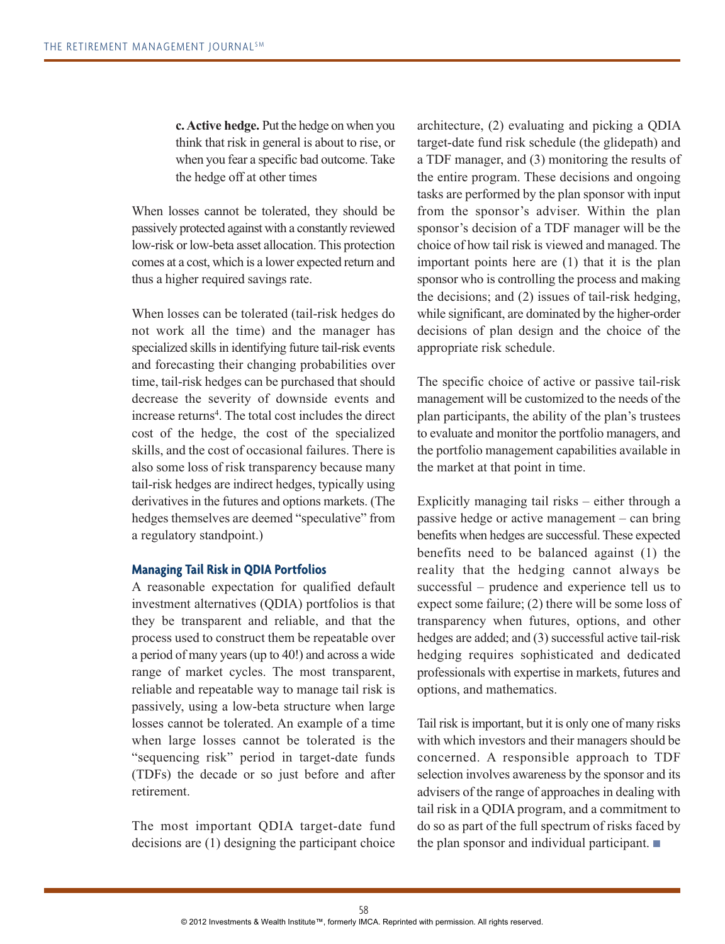**c. Active hedge.** Put the hedge on when you think that risk in general is about to rise, or when you fear a specific bad outcome. Take the hedge off at other times

When losses cannot be tolerated, they should be passively protected against with a constantly reviewed low-risk or low-beta asset allocation. This protection comes at a cost, which is a lower expected return and thus a higher required savings rate.

When losses can be tolerated (tail-risk hedges do not work all the time) and the manager has specialized skills in identifying future tail-risk events and forecasting their changing probabilities over time, tail-risk hedges can be purchased that should decrease the severity of downside events and increase returns<sup>4</sup>. The total cost includes the direct cost of the hedge, the cost of the specialized skills, and the cost of occasional failures. There is also some loss of risk transparency because many tail-risk hedges are indirect hedges, typically using derivatives in the futures and options markets. (The hedges themselves are deemed "speculative" from a regulatory standpoint.)

#### **Managing Tail Risk in QDIA Portfolios**

A reasonable expectation for qualified default investment alternatives (QDIA) portfolios is that they be transparent and reliable, and that the process used to construct them be repeatable over a period of many years (up to 40!) and across a wide range of market cycles. The most transparent, reliable and repeatable way to manage tail risk is passively, using a low-beta structure when large losses cannot be tolerated. An example of a time when large losses cannot be tolerated is the "sequencing risk" period in target-date funds (TDFs) the decade or so just before and after retirement.

The most important QDIA target-date fund decisions are (1) designing the participant choice

architecture, (2) evaluating and picking a QDIA target-date fund risk schedule (the glidepath) and a TDF manager, and (3) monitoring the results of the entire program. These decisions and ongoing tasks are performed by the plan sponsor with input from the sponsor's adviser. Within the plan sponsor's decision of a TDF manager will be the choice of how tail risk is viewed and managed. The important points here are (1) that it is the plan sponsor who is controlling the process and making the decisions; and (2) issues of tail-risk hedging, while significant, are dominated by the higher-order decisions of plan design and the choice of the appropriate risk schedule.

The specific choice of active or passive tail-risk management will be customized to the needs of the plan participants, the ability of the plan's trustees to evaluate and monitor the portfolio managers, and the portfolio management capabilities available in the market at that point in time.

Explicitly managing tail risks – either through a passive hedge or active management – can bring benefits when hedges are successful. These expected benefits need to be balanced against (1) the reality that the hedging cannot always be successful – prudence and experience tell us to expect some failure; (2) there will be some loss of transparency when futures, options, and other hedges are added; and (3) successful active tail-risk hedging requires sophisticated and dedicated professionals with expertise in markets, futures and options, and mathematics.

Tail risk is important, but it is only one of many risks with which investors and their managers should be concerned. A responsible approach to TDF selection involves awareness by the sponsor and its advisers of the range of approaches in dealing with tail risk in a QDIA program, and a commitment to do so as part of the full spectrum of risks faced by the plan sponsor and individual participant. ■